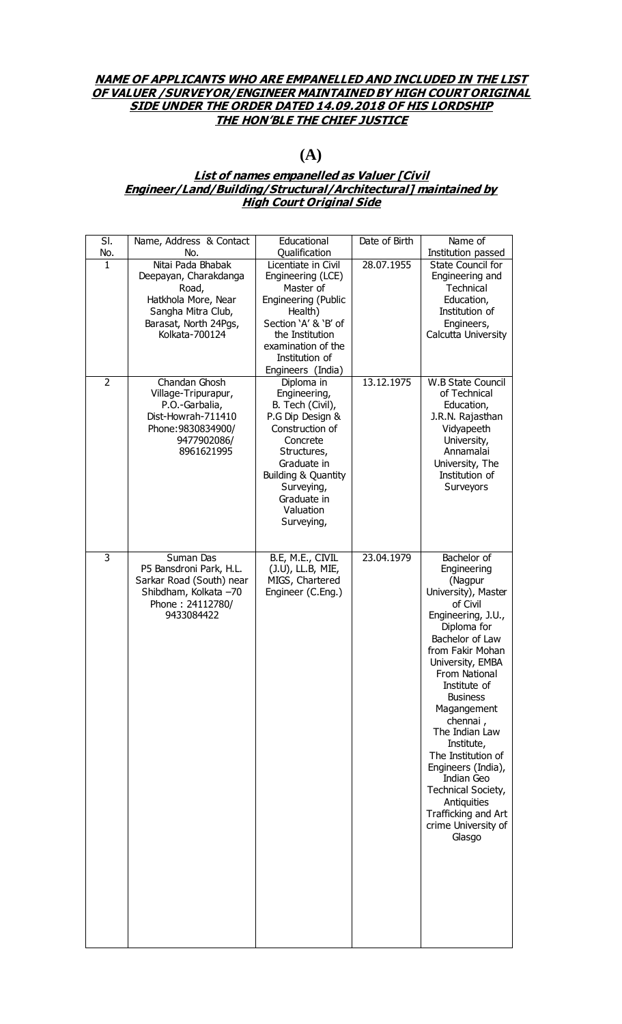### **NAME OF APPLICANTS WHO ARE EMPANELLED AND INCLUDED IN THE LIST OF VALUER /SURVEYOR/ENGINEER MAINTAINED BY HIGH COURT ORIGINAL SIDE UNDER THE ORDER DATED 14.09.2018 OF HIS LORDSHIP THE HON'BLE THE CHIEF JUSTICE**

# **(A)**

## **List of names empanelled as Valuer [Civil Engineer/Land/Building/Structural/Architectural] maintained by High Court Original Side**

| $\overline{\mathsf{SI}}$ .<br>No. | Name, Address & Contact<br>No.                    | Educational<br>Qualification         | Date of Birth | Name of<br>Institution passed    |
|-----------------------------------|---------------------------------------------------|--------------------------------------|---------------|----------------------------------|
| $\mathbf{1}$                      | Nitai Pada Bhabak                                 | Licentiate in Civil                  | 28.07.1955    | State Council for                |
|                                   | Deepayan, Charakdanga                             | Engineering (LCE)                    |               | Engineering and                  |
|                                   | Road,<br>Hatkhola More, Near                      | Master of                            |               | Technical<br>Education,          |
|                                   | Sangha Mitra Club,                                | Engineering (Public<br>Health)       |               | Institution of                   |
|                                   | Barasat, North 24Pgs,                             | Section 'A' & 'B' of                 |               | Engineers,                       |
|                                   | Kolkata-700124                                    | the Institution                      |               | Calcutta University              |
|                                   |                                                   | examination of the<br>Institution of |               |                                  |
|                                   |                                                   | Engineers (India)                    |               |                                  |
| $\overline{2}$                    | Chandan Ghosh                                     | Diploma in                           | 13.12.1975    | <b>W.B State Council</b>         |
|                                   | Village-Tripurapur,<br>P.O.-Garbalia,             | Engineering,<br>B. Tech (Civil),     |               | of Technical<br>Education,       |
|                                   | Dist-Howrah-711410                                | P.G Dip Design &                     |               | J.R.N. Rajasthan                 |
|                                   | Phone: 9830834900/                                | Construction of                      |               | Vidyapeeth                       |
|                                   | 9477902086/<br>8961621995                         | Concrete<br>Structures,              |               | University,<br>Annamalai         |
|                                   |                                                   | Graduate in                          |               | University, The                  |
|                                   |                                                   | Building & Quantity                  |               | Institution of                   |
|                                   |                                                   | Surveying,<br>Graduate in            |               | Surveyors                        |
|                                   |                                                   | Valuation                            |               |                                  |
|                                   |                                                   | Surveying,                           |               |                                  |
|                                   |                                                   |                                      |               |                                  |
| 3                                 | Suman Das                                         | B.E, M.E., CIVIL                     | 23.04.1979    | Bachelor of                      |
|                                   | P5 Bansdroni Park, H.L.                           | (J.U), LL.B, MIE,                    |               | Engineering                      |
|                                   | Sarkar Road (South) near<br>Shibdham, Kolkata -70 | MIGS, Chartered<br>Engineer (C.Eng.) |               | (Nagpur<br>University), Master   |
|                                   | Phone: 24112780/                                  |                                      |               | of Civil                         |
|                                   | 9433084422                                        |                                      |               | Engineering, J.U.,               |
|                                   |                                                   |                                      |               | Diploma for<br>Bachelor of Law   |
|                                   |                                                   |                                      |               | from Fakir Mohan                 |
|                                   |                                                   |                                      |               | University, EMBA                 |
|                                   |                                                   |                                      |               | From National<br>Institute of    |
|                                   |                                                   |                                      |               | <b>Business</b>                  |
|                                   |                                                   |                                      |               | Magangement                      |
|                                   |                                                   |                                      |               | chennai,<br>The Indian Law       |
|                                   |                                                   |                                      |               | Institute,                       |
|                                   |                                                   |                                      |               | The Institution of               |
|                                   |                                                   |                                      |               | Engineers (India),               |
|                                   |                                                   |                                      |               | Indian Geo<br>Technical Society, |
|                                   |                                                   |                                      |               | Antiquities                      |
|                                   |                                                   |                                      |               | Trafficking and Art              |
|                                   |                                                   |                                      |               | crime University of<br>Glasgo    |
|                                   |                                                   |                                      |               |                                  |
|                                   |                                                   |                                      |               |                                  |
|                                   |                                                   |                                      |               |                                  |
|                                   |                                                   |                                      |               |                                  |
|                                   |                                                   |                                      |               |                                  |
|                                   |                                                   |                                      |               |                                  |
|                                   |                                                   |                                      |               |                                  |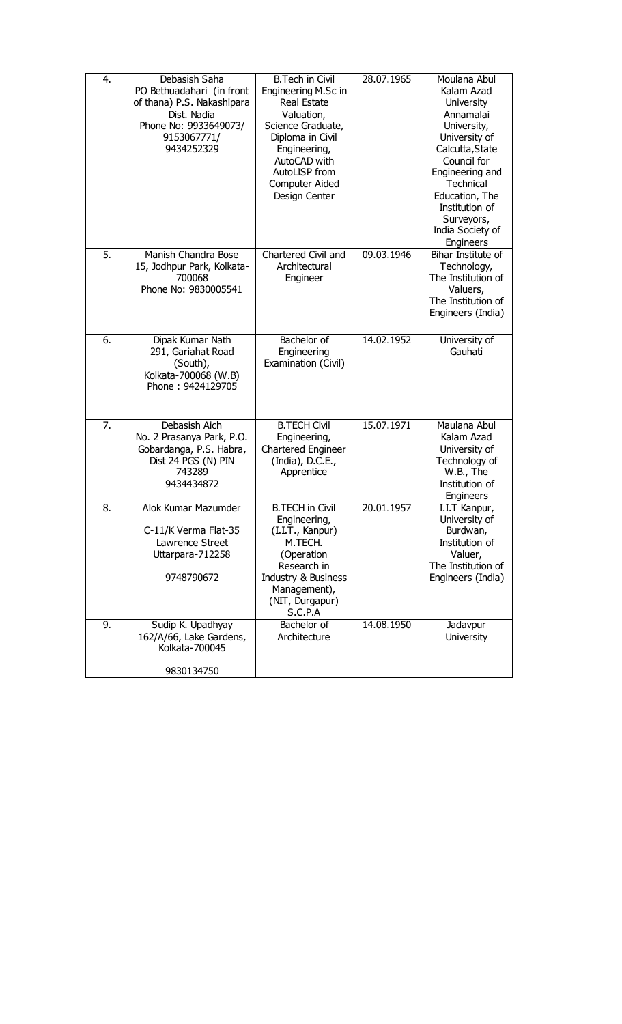| 4.               | Debasish Saha<br>PO Bethuadahari (in front<br>of thana) P.S. Nakashipara<br>Dist. Nadia<br>Phone No: 9933649073/<br>9153067771/<br>9434252329 | <b>B.Tech in Civil</b><br>Engineering M.Sc in<br><b>Real Estate</b><br>Valuation,<br>Science Graduate,<br>Diploma in Civil<br>Engineering,<br>AutoCAD with<br>AutoLISP from<br>Computer Aided<br>Design Center | 28.07.1965 | Moulana Abul<br>Kalam Azad<br><b>University</b><br>Annamalai<br>University,<br>University of<br>Calcutta, State<br>Council for<br>Engineering and<br>Technical<br>Education, The<br>Institution of<br>Surveyors,<br>India Society of<br>Engineers |
|------------------|-----------------------------------------------------------------------------------------------------------------------------------------------|----------------------------------------------------------------------------------------------------------------------------------------------------------------------------------------------------------------|------------|---------------------------------------------------------------------------------------------------------------------------------------------------------------------------------------------------------------------------------------------------|
| $\overline{5}$ . | Manish Chandra Bose<br>15, Jodhpur Park, Kolkata-<br>700068<br>Phone No: 9830005541                                                           | Chartered Civil and<br>Architectural<br>Engineer                                                                                                                                                               | 09.03.1946 | Bihar Institute of<br>Technology,<br>The Institution of<br>Valuers,<br>The Institution of<br>Engineers (India)                                                                                                                                    |
| 6.               | Dipak Kumar Nath<br>291, Gariahat Road<br>(South),<br>Kolkata-700068 (W.B)<br>Phone: 9424129705                                               | Bachelor of<br>Engineering<br>Examination (Civil)                                                                                                                                                              | 14.02.1952 | University of<br>Gauhati                                                                                                                                                                                                                          |
| 7.               | Debasish Aich<br>No. 2 Prasanya Park, P.O.<br>Gobardanga, P.S. Habra,<br>Dist 24 PGS (N) PIN<br>743289<br>9434434872                          | <b>B.TECH Civil</b><br>Engineering,<br>Chartered Engineer<br>(India), D.C.E.,<br>Apprentice                                                                                                                    | 15.07.1971 | Maulana Abul<br>Kalam Azad<br>University of<br>Technology of<br>W.B., The<br>Institution of<br>Engineers                                                                                                                                          |
| 8.               | Alok Kumar Mazumder<br>C-11/K Verma Flat-35<br>Lawrence Street<br>Uttarpara-712258<br>9748790672                                              | <b>B.TECH in Civil</b><br>Engineering,<br>(I.I.T., Kanpur)<br>M.TECH.<br>(Operation<br>Research in<br>Industry & Business<br>Management),<br>(NIT, Durgapur)<br>S.C.P.A                                        | 20.01.1957 | I.I.T Kanpur,<br>University of<br>Burdwan,<br>Institution of<br>Valuer,<br>The Institution of<br>Engineers (India)                                                                                                                                |
| 9.               | Sudip K. Upadhyay<br>162/A/66, Lake Gardens,<br>Kolkata-700045<br>9830134750                                                                  | Bachelor of<br>Architecture                                                                                                                                                                                    | 14.08.1950 | Jadavpur<br><b>University</b>                                                                                                                                                                                                                     |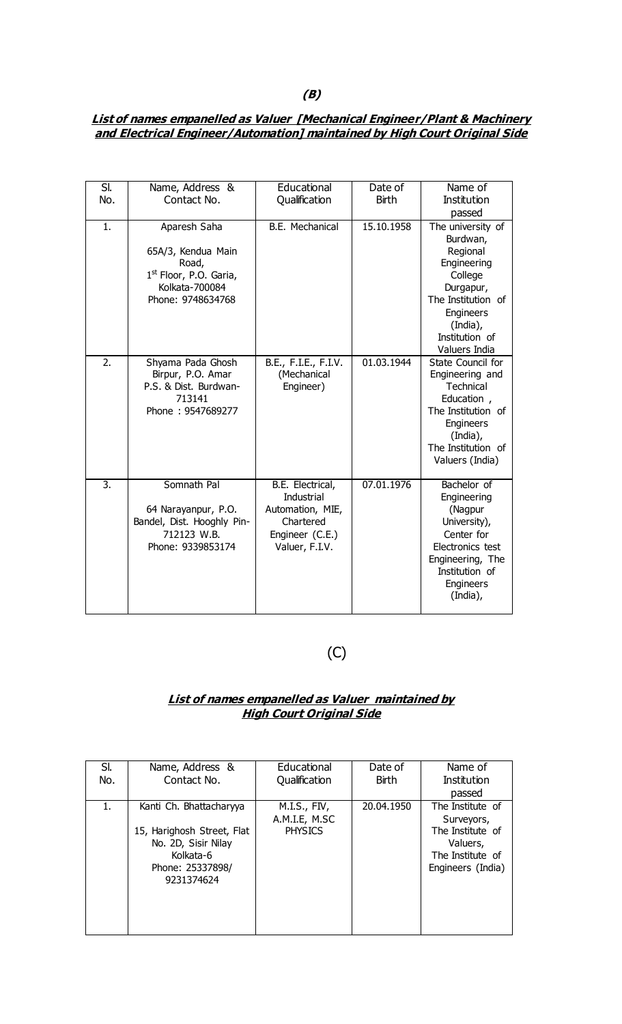# **List of names empanelled as Valuer [Mechanical Engineer/Plant & Machinery and Electrical Engineer/Automation] maintained by High Court Original Side**

| SI.              | Name, Address &                    | Educational          | Date of      | Name of                        |
|------------------|------------------------------------|----------------------|--------------|--------------------------------|
| No.              | Contact No.                        | Qualification        | <b>Birth</b> | <b>Institution</b>             |
|                  |                                    |                      |              | passed                         |
| 1.               | Aparesh Saha                       | B.E. Mechanical      | 15.10.1958   | The university of              |
|                  |                                    |                      |              | Burdwan,                       |
|                  | 65A/3, Kendua Main                 |                      |              | Regional                       |
|                  | Road,                              |                      |              | Engineering                    |
|                  | 1 <sup>st</sup> Floor, P.O. Garia, |                      |              | College                        |
|                  | Kolkata-700084                     |                      |              | Durgapur,                      |
|                  | Phone: 9748634768                  |                      |              | The Institution of             |
|                  |                                    |                      |              | Engineers                      |
|                  |                                    |                      |              | (India),                       |
|                  |                                    |                      |              | Institution of                 |
|                  |                                    |                      |              | Valuers India                  |
| 2.               | Shyama Pada Ghosh                  | B.E., F.I.E., F.I.V. | 01.03.1944   | State Council for              |
|                  | Birpur, P.O. Amar                  | (Mechanical          |              | Engineering and                |
|                  | P.S. & Dist. Burdwan-              | Engineer)            |              | Technical                      |
|                  | 713141                             |                      |              | Education,                     |
|                  | Phone: 9547689277                  |                      |              | The Institution of             |
|                  |                                    |                      |              | Engineers                      |
|                  |                                    |                      |              | (India),<br>The Institution of |
|                  |                                    |                      |              | Valuers (India)                |
|                  |                                    |                      |              |                                |
| $\overline{3}$ . | Somnath Pal                        | B.E. Electrical,     | 07.01.1976   | Bachelor of                    |
|                  |                                    | <b>Industrial</b>    |              | Engineering                    |
|                  | 64 Narayanpur, P.O.                | Automation, MIE,     |              | (Nagpur                        |
|                  | Bandel, Dist. Hooghly Pin-         | Chartered            |              | University),                   |
|                  | 712123 W.B.                        | Engineer (C.E.)      |              | Center for                     |
|                  | Phone: 9339853174                  | Valuer, F.I.V.       |              | Electronics test               |
|                  |                                    |                      |              | Engineering, The               |
|                  |                                    |                      |              | Institution of                 |
|                  |                                    |                      |              | Engineers                      |
|                  |                                    |                      |              | (India),                       |
|                  |                                    |                      |              |                                |

 $(C)$ 

### **List of names empanelled as Valuer maintained by High Court Original Side**

| SI. | Name, Address &            | Educational    | Date of      | Name of           |
|-----|----------------------------|----------------|--------------|-------------------|
| No. | Contact No.                | Qualification  | <b>Birth</b> | Institution       |
|     |                            |                |              | passed            |
| 1.  | Kanti Ch. Bhattacharyya    | M.I.S., FIV,   | 20.04.1950   | The Institute of  |
|     |                            | A.M.I.E, M.SC  |              | Surveyors,        |
|     | 15, Harighosh Street, Flat | <b>PHYSICS</b> |              | The Institute of  |
|     | No. 2D, Sisir Nilay        |                |              | Valuers,          |
|     | Kolkata-6                  |                |              | The Institute of  |
|     | Phone: 25337898/           |                |              | Engineers (India) |
|     | 9231374624                 |                |              |                   |
|     |                            |                |              |                   |
|     |                            |                |              |                   |
|     |                            |                |              |                   |
|     |                            |                |              |                   |